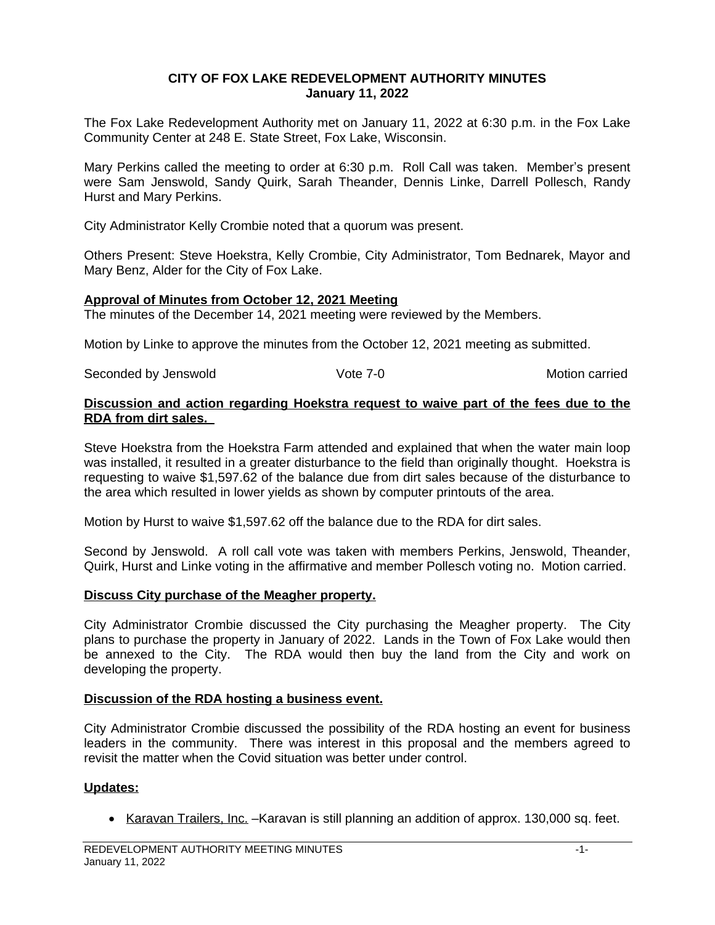## **CITY OF FOX LAKE REDEVELOPMENT AUTHORITY MINUTES January 11, 2022**

The Fox Lake Redevelopment Authority met on January 11, 2022 at 6:30 p.m. in the Fox Lake Community Center at 248 E. State Street, Fox Lake, Wisconsin.

Mary Perkins called the meeting to order at 6:30 p.m. Roll Call was taken. Member's present were Sam Jenswold, Sandy Quirk, Sarah Theander, Dennis Linke, Darrell Pollesch, Randy Hurst and Mary Perkins.

City Administrator Kelly Crombie noted that a quorum was present.

Others Present: Steve Hoekstra, Kelly Crombie, City Administrator, Tom Bednarek, Mayor and Mary Benz, Alder for the City of Fox Lake.

### **Approval of Minutes from October 12, 2021 Meeting**

The minutes of the December 14, 2021 meeting were reviewed by the Members.

Motion by Linke to approve the minutes from the October 12, 2021 meeting as submitted.

Seconded by Jenswold **Seconded by Jenswold** Vote 7-0 **Motion carried** Motion carried

### **Discussion and action regarding Hoekstra request to waive part of the fees due to the RDA from dirt sales.**

Steve Hoekstra from the Hoekstra Farm attended and explained that when the water main loop was installed, it resulted in a greater disturbance to the field than originally thought. Hoekstra is requesting to waive \$1,597.62 of the balance due from dirt sales because of the disturbance to the area which resulted in lower yields as shown by computer printouts of the area.

Motion by Hurst to waive \$1,597.62 off the balance due to the RDA for dirt sales.

Second by Jenswold. A roll call vote was taken with members Perkins, Jenswold, Theander, Quirk, Hurst and Linke voting in the affirmative and member Pollesch voting no. Motion carried.

# **Discuss City purchase of the Meagher property.**

City Administrator Crombie discussed the City purchasing the Meagher property. The City plans to purchase the property in January of 2022. Lands in the Town of Fox Lake would then be annexed to the City. The RDA would then buy the land from the City and work on developing the property.

#### **Discussion of the RDA hosting a business event.**

City Administrator Crombie discussed the possibility of the RDA hosting an event for business leaders in the community. There was interest in this proposal and the members agreed to revisit the matter when the Covid situation was better under control.

# **Updates:**

• Karavan Trailers, Inc. –Karavan is still planning an addition of approx. 130,000 sq. feet.